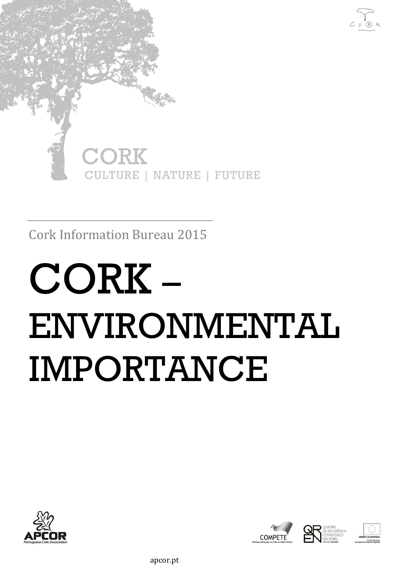

Cork Information Bureau 2015

# CORK – ENVIRONMENTAL IMPORTANCE



COMPETE





apcor.pt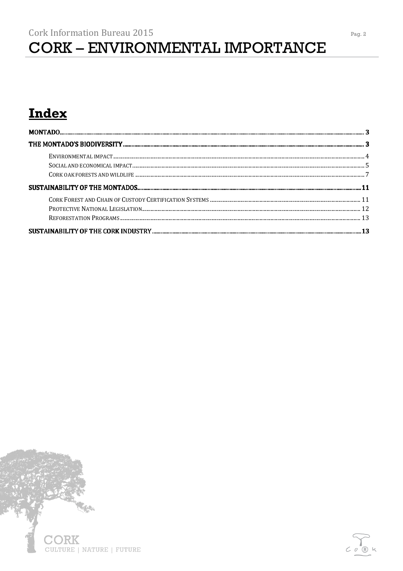### Index



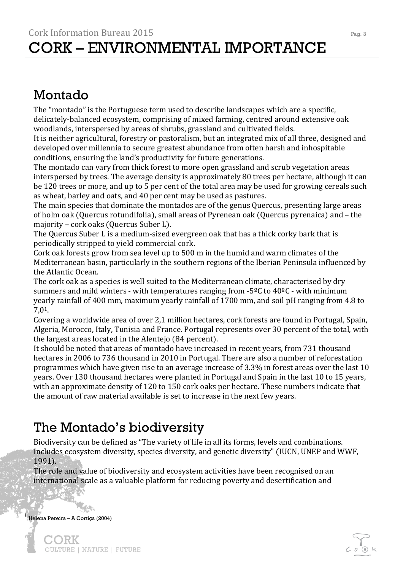### Montado

The "montado" is the Portuguese term used to describe landscapes which are a specific, delicately-balanced ecosystem, comprising of mixed farming, centred around extensive oak woodlands, interspersed by areas of shrubs, grassland and cultivated fields.

It is neither agricultural, forestry or pastoralism, but an integrated mix of all three, designed and developed over millennia to secure greatest abundance from often harsh and inhospitable conditions, ensuring the land's productivity for future generations.

The montado can vary from thick forest to more open grassland and scrub vegetation areas interspersed by trees. The average density is approximately 80 trees per hectare, although it can be 120 trees or more, and up to 5 per cent of the total area may be used for growing cereals such as wheat, barley and oats, and 40 per cent may be used as pastures.

The main species that dominate the montados are of the genus Quercus, presenting large areas of holm oak (Quercus rotundifolia), small areas of Pyrenean oak (Quercus pyrenaica) and – the majority – cork oaks (Quercus Suber L).

The Quercus Suber L is a medium-sized evergreen oak that has a thick corky bark that is periodically stripped to yield commercial cork.

Cork oak forests grow from sea level up to 500 m in the humid and warm climates of the Mediterranean basin, particularly in the southern regions of the Iberian Peninsula influenced by the Atlantic Ocean.

The cork oak as a species is well suited to the Mediterranean climate, characterised by dry summers and mild winters - with temperatures ranging from  $-5^{\circ}$ C to  $40^{\circ}$ C - with minimum yearly rainfall of 400 mm, maximum yearly rainfall of 1700 mm, and soil pH ranging from 4.8 to 7,01.

Covering a worldwide area of over 2,1 million hectares, cork forests are found in Portugal, Spain, Algeria, Morocco, Italy, Tunisia and France. Portugal represents over 30 percent of the total, with the largest areas located in the Alentejo (84 percent).

It should be noted that areas of montado have increased in recent years, from 731 thousand hectares in 2006 to 736 thousand in 2010 in Portugal. There are also a number of reforestation programmes which have given rise to an average increase of 3.3% in forest areas over the last 10 years. Over 130 thousand hectares were planted in Portugal and Spain in the last 10 to 15 years, with an approximate density of 120 to 150 cork oaks per hectare. These numbers indicate that the amount of raw material available is set to increase in the next few years.

### The Montado's biodiversity

Biodiversity can be defined as "The variety of life in all its forms, levels and combinations. Includes ecosystem diversity, species diversity, and genetic diversity" (IUCN, UNEP and WWF, 1991).

The role and value of biodiversity and ecosystem activities have been recognised on an international scale as a valuable platform for reducing poverty and desertification and

1 Helena Pereira – A Cortiça (2004)

)RK

CULTURE | NATURE | FUTURE

 $\overline{1}$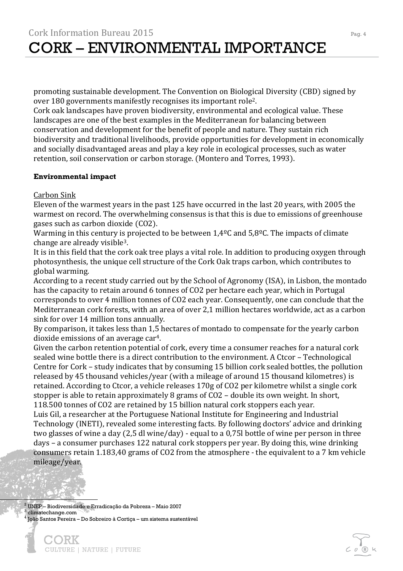promoting sustainable development. The Convention on Biological Diversity (CBD) signed by over 180 governments manifestly recognises its important role2.

Cork oak landscapes have proven biodiversity, environmental and ecological value. These landscapes are one of the best examples in the Mediterranean for balancing between conservation and development for the benefit of people and nature. They sustain rich biodiversity and traditional livelihoods, provide opportunities for development in economically and socially disadvantaged areas and play a key role in ecological processes, such as water retention, soil conservation or carbon storage. (Montero and Torres, 1993).

#### **Environmental impact**

Carbon Sink

Eleven of the warmest years in the past 125 have occurred in the last 20 years, with 2005 the warmest on record. The overwhelming consensus is that this is due to emissions of greenhouse gases such as carbon dioxide (CO2).

Warming in this century is projected to be between  $1,4^{\circ}$ C and  $5,8^{\circ}$ C. The impacts of climate change are already visible3.

It is in this field that the cork oak tree plays a vital role. In addition to producing oxygen through photosynthesis, the unique cell structure of the Cork Oak traps carbon, which contributes to global warming.

According to a recent study carried out by the School of Agronomy (ISA), in Lisbon, the montado has the capacity to retain around 6 tonnes of CO2 per hectare each year, which in Portugal corresponds to over 4 million tonnes of CO2 each year. Consequently, one can conclude that the Mediterranean cork forests, with an area of over 2,1 million hectares worldwide, act as a carbon sink for over 14 million tons annually.

By comparison, it takes less than 1,5 hectares of montado to compensate for the yearly carbon dioxide emissions of an average car4.

Given the carbon retention potential of cork, every time a consumer reaches for a natural cork sealed wine bottle there is a direct contribution to the environment. A Ctcor – Technological Centre for Cork – study indicates that by consuming 15 billion cork sealed bottles, the pollution released by 45 thousand vehicles/year (with a mileage of around 15 thousand kilometres) is retained. According to Ctcor, a vehicle releases 170g of CO2 per kilometre whilst a single cork stopper is able to retain approximately 8 grams of CO2 – double its own weight. In short, 118.500 tonnes of CO2 are retained by 15 billion natural cork stoppers each year.

Luis Gil, a researcher at the Portuguese National Institute for Engineering and Industrial Technology (INETI), revealed some interesting facts. By following doctors' advice and drinking two glasses of wine a day (2,5 dl wine/day) - equal to a 0,75l bottle of wine per person in three days – a consumer purchases 122 natural cork stoppers per year. By doing this, wine drinking consumers retain 1.183,40 grams of CO2 from the atmosphere - the equivalent to a 7 km vehicle mileage/year.

 $^2$  UNEP – Biodiversidade e Erradicação da Pobreza – Maio 2007 3 climatechange.com 4 João Santos Pereira – Do Sobreiro à Cortiça – um sistema sustentável

 $\frac{1}{\sqrt{2}}$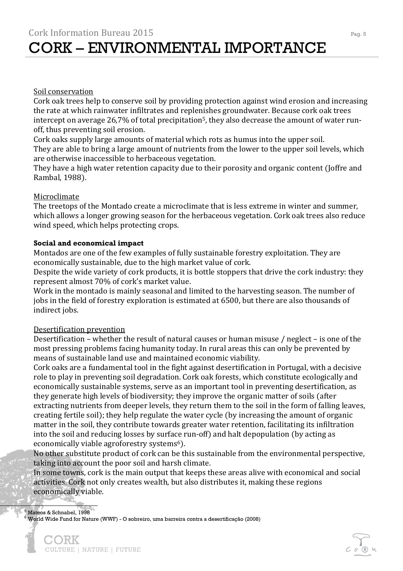### Soil conservation

Cork oak trees help to conserve soil by providing protection against wind erosion and increasing the rate at which rainwater infiltrates and replenishes groundwater. Because cork oak trees intercept on average 26,7% of total precipitation<sup>5</sup>, they also decrease the amount of water runoff, thus preventing soil erosion.

Cork oaks supply large amounts of material which rots as humus into the upper soil. They are able to bring a large amount of nutrients from the lower to the upper soil levels, which are otherwise inaccessible to herbaceous vegetation.

They have a high water retention capacity due to their porosity and organic content (Joffre and Rambal, 1988).

### Microclimate

The treetops of the Montado create a microclimate that is less extreme in winter and summer, which allows a longer growing season for the herbaceous vegetation. Cork oak trees also reduce wind speed, which helps protecting crops.

### **Social and economical impact**

Montados are one of the few examples of fully sustainable forestry exploitation. They are economically sustainable, due to the high market value of cork.

Despite the wide variety of cork products, it is bottle stoppers that drive the cork industry: they represent almost 70% of cork's market value.

Work in the montado is mainly seasonal and limited to the harvesting season. The number of jobs in the field of forestry exploration is estimated at 6500, but there are also thousands of indirect jobs.

### Desertification prevention

Desertification – whether the result of natural causes or human misuse / neglect – is one of the most pressing problems facing humanity today. In rural areas this can only be prevented by means of sustainable land use and maintained economic viability.

Cork oaks are a fundamental tool in the fight against desertification in Portugal, with a decisive role to play in preventing soil degradation. Cork oak forests, which constitute ecologically and economically sustainable systems, serve as an important tool in preventing desertification, as they generate high levels of biodiversity; they improve the organic matter of soils (after extracting nutrients from deeper levels, they return them to the soil in the form of falling leaves, creating fertile soil); they help regulate the water cycle (by increasing the amount of organic matter in the soil, they contribute towards greater water retention, facilitating its infiltration into the soil and reducing losses by surface run-off) and halt depopulation (by acting as economically viable agroforestry systems<sup>6</sup>).

No other substitute product of cork can be this sustainable from the environmental perspective, taking into account the poor soil and harsh climate.

In some towns, cork is the main output that keeps these areas alive with economical and social activities. Cork not only creates wealth, but also distributes it, making these regions economically viable.

5 Mateos & Schnabel, 1998

j

 $^6$ World Wide Fund for Nature (WWF) - O sobreiro, uma barreira contra a desertificação (2008)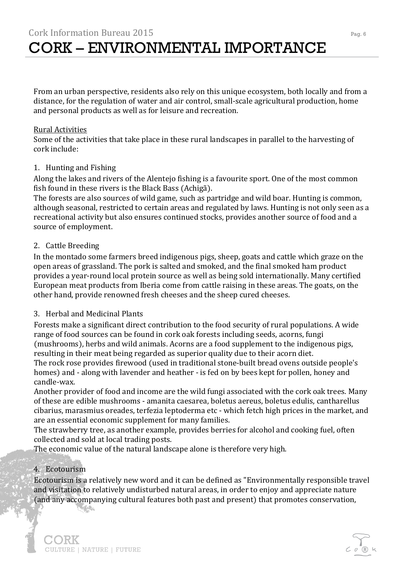From an urban perspective, residents also rely on this unique ecosystem, both locally and from a distance, for the regulation of water and air control, small-scale agricultural production, home and personal products as well as for leisure and recreation.

### Rural Activities

Some of the activities that take place in these rural landscapes in parallel to the harvesting of cork include:

### 1. Hunting and Fishing

Along the lakes and rivers of the Alentejo fishing is a favourite sport. One of the most common fish found in these rivers is the Black Bass (Achigã).

The forests are also sources of wild game, such as partridge and wild boar. Hunting is common, although seasonal, restricted to certain areas and regulated by laws. Hunting is not only seen as a recreational activity but also ensures continued stocks, provides another source of food and a source of employment.

### 2. Cattle Breeding

In the montado some farmers breed indigenous pigs, sheep, goats and cattle which graze on the open areas of grassland. The pork is salted and smoked, and the final smoked ham product provides a year-round local protein source as well as being sold internationally. Many certified European meat products from Iberia come from cattle raising in these areas. The goats, on the other hand, provide renowned fresh cheeses and the sheep cured cheeses.

### 3. Herbal and Medicinal Plants

Forests make a significant direct contribution to the food security of rural populations. A wide range of food sources can be found in cork oak forests including seeds, acorns, fungi (mushrooms), herbs and wild animals. Acorns are a food supplement to the indigenous pigs, resulting in their meat being regarded as superior quality due to their acorn diet. The rock rose provides firewood (used in traditional stone-built bread ovens outside people's

homes) and - along with lavender and heather - is fed on by bees kept for pollen, honey and candle-wax.

Another provider of food and income are the wild fungi associated with the cork oak trees. Many of these are edible mushrooms - amanita caesarea, boletus aereus, boletus edulis, cantharellus cibarius, marasmius oreades, terfezia leptoderma etc - which fetch high prices in the market, and are an essential economic supplement for many families.

The strawberry tree, as another example, provides berries for alcohol and cooking fuel, often collected and sold at local trading posts.

The economic value of the natural landscape alone is therefore very high.

### 4. Ecotourism

**The Contractor** 

CULTURE | NATURE | FUTURE

)RK

Ecotourism is a relatively new word and it can be defined as "Environmentally responsible travel and visitation to relatively undisturbed natural areas, in order to enjoy and appreciate nature (and any accompanying cultural features both past and present) that promotes conservation,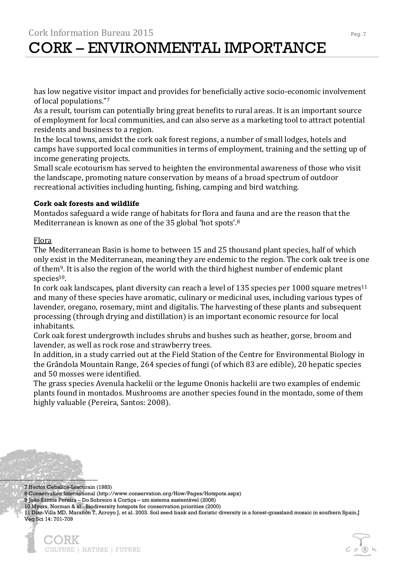has low negative visitor impact and provides for beneficially active socio-economic involvement of local populations."<sup>7</sup>

As a result, tourism can potentially bring great benefits to rural areas. It is an important source of employment for local communities, and can also serve as a marketing tool to attract potential residents and business to a region.

In the local towns, amidst the cork oak forest regions, a number of small lodges, hotels and camps have supported local communities in terms of employment, training and the setting up of income generating projects.

Small scale ecotourism has served to heighten the environmental awareness of those who visit the landscape, promoting nature conservation by means of a broad spectrum of outdoor recreational activities including hunting, fishing, camping and bird watching.

### **Cork oak forests and wildlife**

Montados safeguard a wide range of habitats for flora and fauna and are the reason that the Mediterranean is known as one of the 35 global 'hot spots'.<sup>8</sup>

### Flora

The Mediterranean Basin is home to between 15 and 25 thousand plant species, half of which only exist in the Mediterranean, meaning they are endemic to the region. The cork oak tree is one of them<sup>9</sup>. It is also the region of the world with the third highest number of endemic plant species<sup>10</sup>.

In cork oak landscapes, plant diversity can reach a level of 135 species per 1000 square metres<sup>11</sup> and many of these species have aromatic, culinary or medicinal uses, including various types of lavender, oregano, rosemary, mint and digitalis. The harvesting of these plants and subsequent processing (through drying and distillation) is an important economic resource for local inhabitants.

Cork oak forest undergrowth includes shrubs and bushes such as heather, gorse, broom and lavender, as well as rock rose and strawberry trees.

In addition, in a study carried out at the Field Station of the Centre for Environmental Biology in the Grândola Mountain Range, 264 species of fungi (of which 83 are edible), 20 hepatic species and 50 mosses were identified.

The grass species Avenula hackelii or the legume Ononis hackelii are two examples of endemic plants found in montados. Mushrooms are another species found in the montado, some of them highly valuable (Pereira, Santos: 2008).

7 Hector Ceballos-Lascurain (1983)

 $\ddot{\phantom{0}}$ 

8 Conservation International (http://www.conservation.org/How/Pages/Hotspots.aspx)

9 João Santos Pereira – Do Sobreiro à Cortiça – um sistema sustentável (2008)

10 Myers, Norman & al - Biodiversity hotspots for conservation priorities (2000)

11 Díaz-Villa MD, Marañón T, Arroyo J, et al. 2003. Soil seed bank and floristic diversity in a forest-grassland mosaic in southern Spain.J Veg Sci 14: 701-709

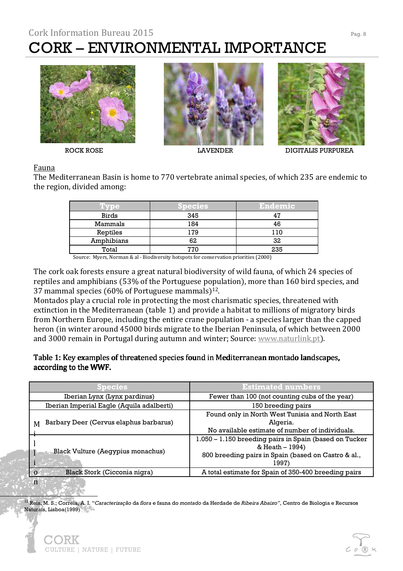

CULTURE | NATURE | FUTURE





ROCK ROSE LAVENDER DIGITALIS PURPUREA

### Fauna

i

The Mediterranean Basin is home to 770 vertebrate animal species, of which 235 are endemic to the region, divided among:

| Tvpe         | <b>Species</b> | <b>Endemic</b> |
|--------------|----------------|----------------|
| <b>Birds</b> | 345            | 47             |
| Mammals      | 184            | 46             |
| Reptiles     | 179            | 110            |
| Amphibians   | 62             | 32             |
| Total        | 770            | 235            |

Source: Myers, Norman & al - Biodiversity hotspots for conservation priorities (2000)

The cork oak forests ensure a great natural biodiversity of wild fauna, of which 24 species of reptiles and amphibians (53% of the Portuguese population), more than 160 bird species, and 37 mammal species (60% of Portuguese mammals) $12$ .

Montados play a crucial role in protecting the most charismatic species, threatened with extinction in the Mediterranean (table 1) and provide a habitat to millions of migratory birds from Northern Europe, including the entire crane population - a species larger than the capped heron (in winter around 45000 birds migrate to the Iberian Peninsula, of which between 2000 and 3000 remain in Portugal during autumn and winter; Source: www.naturlink.pt).

### Table 1: Key examples of threatened species found in Mediterranean montado landscapes, according to the WWF.

| ipecies                                     | <b>Estimated numbers</b>                                                                                                                  |  |
|---------------------------------------------|-------------------------------------------------------------------------------------------------------------------------------------------|--|
| Iberian Lynx (Lynx pardinus)                | Fewer than 100 (not counting cubs of the year)                                                                                            |  |
| Iberian Imperial Eagle (Aquila adalberti)   | 150 breeding pairs                                                                                                                        |  |
| Barbary Deer (Cervus elaphus barbarus)<br>M | Found only in North West Tunisia and North East<br>Algeria.<br>No available estimate of number of individuals.                            |  |
| <b>Black Vulture (Aegypius monachus)</b>    | 1.050 - 1.150 breeding pairs in Spain (based on Tucker<br>& Heath – 1994)<br>800 breeding pairs in Spain (based on Castro & al.,<br>1997) |  |
| Black Stork (Cicconia nigra)                | A total estimate for Spain of 350-400 breeding pairs                                                                                      |  |
| n                                           |                                                                                                                                           |  |

<sup>12</sup> Reis, M. S.; Correia, A. I. "*Caracterização* da *flora* e fauna do *montado* da Herdade de *Ribeira Abaixo"*, Centro de Biologia e Recursos Naturais, Lisboa(1999)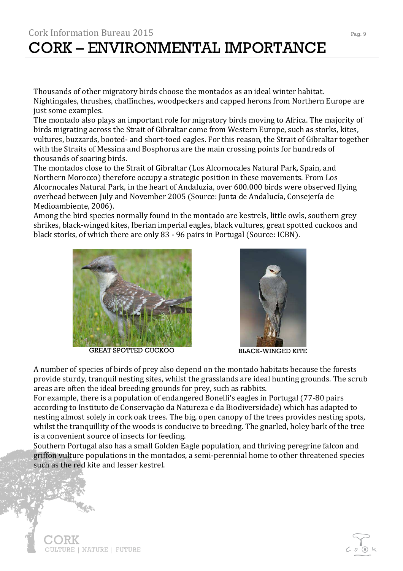### Cork Information Bureau 2015 Pag. 9 CORK – ENVIRONMENTAL IMPORTANCE

Thousands of other migratory birds choose the montados as an ideal winter habitat. Nightingales, thrushes, chaffinches, woodpeckers and capped herons from Northern Europe are just some examples.

The montado also plays an important role for migratory birds moving to Africa. The majority of birds migrating across the Strait of Gibraltar come from Western Europe, such as storks, kites, vultures, buzzards, booted- and short-toed eagles. For this reason, the Strait of Gibraltar together with the Straits of Messina and Bosphorus are the main crossing points for hundreds of thousands of soaring birds.

The montados close to the Strait of Gibraltar (Los Alcornocales Natural Park, Spain, and Northern Morocco) therefore occupy a strategic position in these movements. From Los Alcornocales Natural Park, in the heart of Andaluzia, over 600.000 birds were observed flying overhead between July and November 2005 (Source: Junta de Andalucía, Consejería de Medioambiente, 2006).

Among the bird species normally found in the montado are kestrels, little owls, southern grey shrikes, black-winged kites, Iberian imperial eagles, black vultures, great spotted cuckoos and black storks, of which there are only 83 - 96 pairs in Portugal (Source: ICBN).



GREAT SPOTTED CUCKOO BLACK-WINGED KITE



A number of species of birds of prey also depend on the montado habitats because the forests provide sturdy, tranquil nesting sites, whilst the grasslands are ideal hunting grounds. The scrub areas are often the ideal breeding grounds for prey, such as rabbits.

For example, there is a population of endangered Bonelli's eagles in Portugal (77-80 pairs according to Instituto de Conservação da Natureza e da Biodiversidade) which has adapted to nesting almost solely in cork oak trees. The big, open canopy of the trees provides nesting spots, whilst the tranquillity of the woods is conducive to breeding. The gnarled, holey bark of the tree is a convenient source of insects for feeding.

Southern Portugal also has a small Golden Eagle population, and thriving peregrine falcon and griffon vulture populations in the montados, a semi-perennial home to other threatened species such as the red kite and lesser kestrel.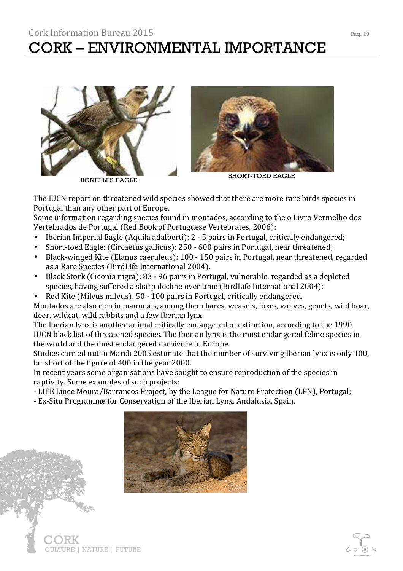



The IUCN report on threatened wild species showed that there are more rare birds species in Portugal than any other part of Europe.

Some information regarding species found in montados, according to the o Livro Vermelho dos Vertebrados de Portugal (Red Book of Portuguese Vertebrates, 2006):

- Iberian Imperial Eagle (Aquila adalberti): 2 5 pairs in Portugal, critically endangered;
- Short-toed Eagle: (Circaetus gallicus): 250 600 pairs in Portugal, near threatened;
- Black-winged Kite (Elanus caeruleus): 100 150 pairs in Portugal, near threatened, regarded as a Rare Species (BirdLife International 2004).
- Black Stork (Ciconia nigra): 83 96 pairs in Portugal, vulnerable, regarded as a depleted species, having suffered a sharp decline over time (BirdLife International 2004);
- Red Kite (Milvus milvus): 50 100 pairs in Portugal, critically endangered.

Montados are also rich in mammals, among them hares, weasels, foxes, wolves, genets, wild boar, deer, wildcat, wild rabbits and a few Iberian lynx.

The Iberian lynx is another animal critically endangered of extinction, according to the 1990 IUCN black list of threatened species. The Iberian lynx is the most endangered feline species in the world and the most endangered carnivore in Europe.

Studies carried out in March 2005 estimate that the number of surviving Iberian lynx is only 100, far short of the figure of 400 in the year 2000.

In recent years some organisations have sought to ensure reproduction of the species in captivity. Some examples of such projects:

- LIFE Lince Moura/Barrancos Project, by the League for Nature Protection (LPN), Portugal;
- Ex-Situ Programme for Conservation of the Iberian Lynx, Andalusia, Spain.

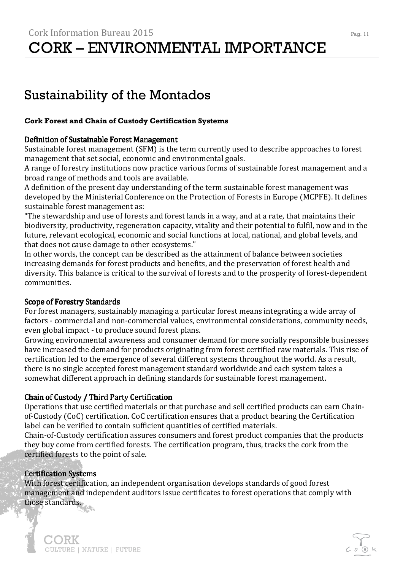### Sustainability of the Montados

### **Cork Forest and Chain of Custody Certification Systems**

### Definition of Sustainable Forest Management

Sustainable forest management (SFM) is the term currently used to describe approaches to forest management that set social, economic and environmental goals.

A range of forestry institutions now practice various forms of sustainable forest management and a broad range of methods and tools are available.

A definition of the present day understanding of the term sustainable forest management was developed by the Ministerial Conference on the Protection of Forests in Europe (MCPFE). It defines sustainable forest management as:

"The stewardship and use of forests and forest lands in a way, and at a rate, that maintains their biodiversity, productivity, regeneration capacity, vitality and their potential to fulfil, now and in the future, relevant ecological, economic and social functions at local, national, and global levels, and that does not cause damage to other ecosystems."

In other words, the concept can be described as the attainment of balance between societies increasing demands for forest products and benefits, and the preservation of forest health and diversity. This balance is critical to the survival of forests and to the prosperity of forest-dependent communities.

### Scope of Forestry Standards

For forest managers, sustainably managing a particular forest means integrating a wide array of factors - commercial and non-commercial values, environmental considerations, community needs, even global impact - to produce sound forest plans.

Growing environmental awareness and consumer demand for more socially responsible businesses have increased the demand for products originating from forest certified raw materials. This rise of certification led to the emergence of several different systems throughout the world. As a result, there is no single accepted forest management standard worldwide and each system takes a somewhat different approach in defining standards for sustainable forest management.

### Chain of Custody / Third Party Certification

Operations that use certified materials or that purchase and sell certified products can earn Chainof-Custody (CoC) certification. CoC certification ensures that a product bearing the Certification label can be verified to contain sufficient quantities of certified materials.

Chain-of-Custody certification assures consumers and forest product companies that the products they buy come from certified forests. The certification program, thus, tracks the cork from the certified forests to the point of sale.

### Certification Systems

)RK

CULTURE | NATURE | FUTURE

With forest certification, an independent organisation develops standards of good forest management and independent auditors issue certificates to forest operations that comply with those standards.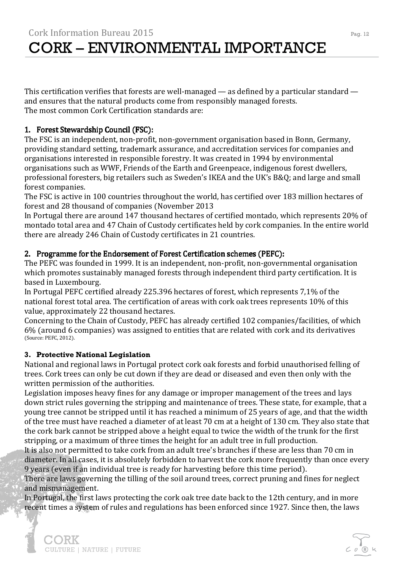This certification verifies that forests are well-managed — as defined by a particular standard and ensures that the natural products come from responsibly managed forests. The most common Cork Certification standards are:

### 1. Forest Stewardship Council (FSC):

The FSC is an independent, non-profit, non-government organisation based in Bonn, Germany, providing standard setting, trademark assurance, and accreditation services for companies and organisations interested in responsible forestry. It was created in 1994 by environmental organisations such as WWF, Friends of the Earth and Greenpeace, indigenous forest dwellers, professional foresters, big retailers such as Sweden's IKEA and the UK's B&Q; and large and small forest companies.

The FSC is active in 100 countries throughout the world, has certified over 183 million hectares of forest and 28 thousand of companies (November 2013

In Portugal there are around 147 thousand hectares of certified montado, which represents 20% of montado total area and 47 Chain of Custody certificates held by cork companies. In the entire world there are already 246 Chain of Custody certificates in 21 countries.

### 2. Programme for the Endorsement of Forest Certification schemes (PEFC):

The PEFC was founded in 1999. It is an independent, non-profit, non-governmental organisation which promotes sustainably managed forests through independent third party certification. It is based in Luxembourg.

In Portugal PEFC certified already 225.396 hectares of forest, which represents 7,1% of the national forest total area. The certification of areas with cork oak trees represents 10% of this value, approximately 22 thousand hectares.

Concerning to the Chain of Custody, PEFC has already certified 102 companies/facilities, of which 6% (around 6 companies) was assigned to entities that are related with cork and its derivatives (Source: PEFC, 2012).

### **3. Protective National Legislation**

National and regional laws in Portugal protect cork oak forests and forbid unauthorised felling of trees. Cork trees can only be cut down if they are dead or diseased and even then only with the written permission of the authorities.

Legislation imposes heavy fines for any damage or improper management of the trees and lays down strict rules governing the stripping and maintenance of trees. These state, for example, that a young tree cannot be stripped until it has reached a minimum of 25 years of age, and that the width of the tree must have reached a diameter of at least 70 cm at a height of 130 cm. They also state that the cork bark cannot be stripped above a height equal to twice the width of the trunk for the first stripping, or a maximum of three times the height for an adult tree in full production.

It is also not permitted to take cork from an adult tree's branches if these are less than 70 cm in diameter. In all cases, it is absolutely forbidden to harvest the cork more frequently than once every 9 years (even if an individual tree is ready for harvesting before this time period).

There are laws governing the tilling of the soil around trees, correct pruning and fines for neglect and mismanagement.

In Portugal, the first laws protecting the cork oak tree date back to the 12th century, and in more recent times a system of rules and regulations has been enforced since 1927. Since then, the laws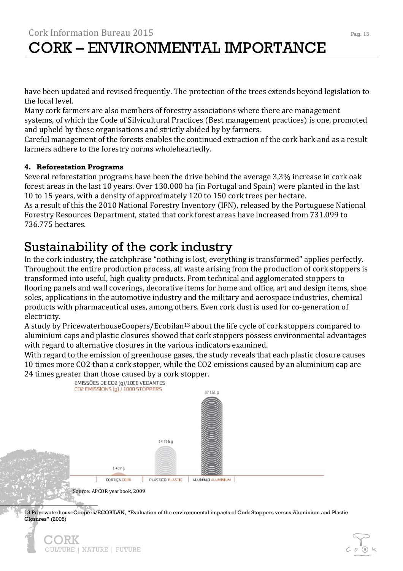have been updated and revised frequently. The protection of the trees extends beyond legislation to the local level.

Many cork farmers are also members of forestry associations where there are management systems, of which the Code of Silvicultural Practices (Best management practices) is one, promoted and upheld by these organisations and strictly abided by by farmers.

Careful management of the forests enables the continued extraction of the cork bark and as a result farmers adhere to the forestry norms wholeheartedly.

### **4. Reforestation Programs**

j

Several reforestation programs have been the drive behind the average 3,3% increase in cork oak forest areas in the last 10 years. Over 130.000 ha (in Portugal and Spain) were planted in the last 10 to 15 years, with a density of approximately 120 to 150 cork trees per hectare.

As a result of this the 2010 National Forestry Inventory (IFN), released by the Portuguese National Forestry Resources Department, stated that cork forest areas have increased from 731.099 to 736.775 hectares.

### Sustainability of the cork industry

CULTURE | NATURE | FUTURE

In the cork industry, the catchphrase "nothing is lost, everything is transformed" applies perfectly. Throughout the entire production process, all waste arising from the production of cork stoppers is transformed into useful, high quality products. From technical and agglomerated stoppers to flooring panels and wall coverings, decorative items for home and office, art and design items, shoe soles, applications in the automotive industry and the military and aerospace industries, chemical products with pharmaceutical uses, among others. Even cork dust is used for co-generation of electricity.

A study by PricewaterhouseCoopers/Ecobilan<sup>13</sup> about the life cycle of cork stoppers compared to aluminium caps and plastic closures showed that cork stoppers possess environmental advantages with regard to alternative closures in the various indicators examined.

With regard to the emission of greenhouse gases, the study reveals that each plastic closure causes 10 times more CO2 than a cork stopper, while the CO2 emissions caused by an aluminium cap are



13 PricewaterhouseCoopers/ECOBILAN, "Evaluation of the environmental impacts of Cork Stoppers versus Aluminium and Plastic Closures" (2008)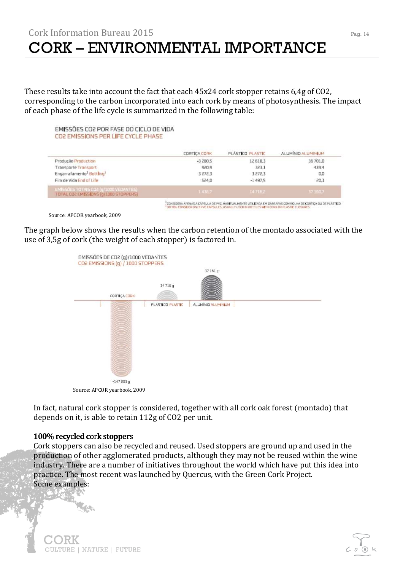These results take into account the fact that each 45x24 cork stopper retains 6,4g of CO2, corresponding to the carbon incorporated into each cork by means of photosynthesis. The impact of each phase of the life cycle is summarized in the following table:

#### EMISSÕES CO2 POR FASE DO CICLO DE VIDA CO2 EMISSIONS PER LIFE CYCLE PHASE

|                                                                                 | <b>CORTICA CORK</b> | PLASTICO PLASTIC | ALLIMINIO ALLIMINIUM |
|---------------------------------------------------------------------------------|---------------------|------------------|----------------------|
| Produção Production                                                             | $-3280.5$           | 12 518.3         | 35 701.0             |
| Transporte Transport                                                            | 920.9               | 323.1            | 439.4                |
| Engarrafamento <sup>1</sup> Bottling <sup>1</sup>                               | 3272.3              | 3272.3           | 0,0                  |
| Fim de Vida End of Life                                                         | 524.0               | $-1.497.5$       | 20.3                 |
| EMISSOLIS TOTALS CO2 (q/1000 VEDANTES)<br>TOTAL CO2 EMISSIONS (g/1000 STOPPERS) | 1416.7              | 147157           | 374607               |
|                                                                                 |                     |                  |                      |

.<br>"CONSIDERA APENAS A CÁPSULA DE PVC, HABITUALMENTE UTILIZADA EM GARRAFAS COM ROU IA DE CORTIÇA OU DE PLÁSTICO<br>"DO YOU CONSIDER ONLY PVC CAPSULES USUALLY USED IN BOTTLES WITH CORN DR PLASTIC EL DSURES

Source: APCOR yearbook, 2009

The graph below shows the results when the carbon retention of the montado associated with the use of 3,5g of cork (the weight of each stopper) is factored in.



In fact, natural cork stopper is considered, together with all cork oak forest (montado) that

depends on it, is able to retain 112g of CO2 per unit.

### 100% recycled cork stoppers 100% recycled cork stoppers

Cork stoppers can also be recycled and reused. Used stoppers are ground up and used in the production of other agglomerated products, although they may not be reused within the wine industry. There are a number of initiatives throughout the world which have put this idea into practice. The most recent was launched by Quercus, with the Green Cork Project. Some examples:

j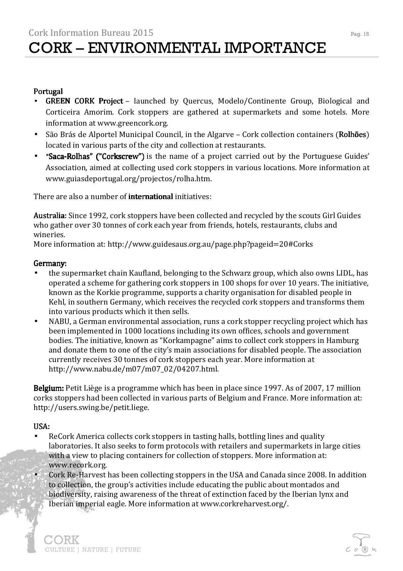### **Portugal**

- GREEN CORK Project launched by Quercus, Modelo/Continente Group, Biological and Corticeira Amorim. Cork stoppers are gathered at supermarkets and some hotels. More information at www.greencork.org.
- São Brás de Alportel Municipal Council, in the Algarve Cork collection containers (Rolhões) located in various parts of the city and collection at restaurants.
- "Saca-Rolhas" ("Corkscrew") is the name of a project carried out by the Portuguese Guides' Association, aimed at collecting used cork stoppers in various locations. More information at www.guiasdeportugal.org/projectos/rolha.htm.

There are also a number of **international** initiatives:

Australia: Since 1992, cork stoppers have been collected and recycled by the scouts Girl Guides who gather over 30 tonnes of cork each year from friends, hotels, restaurants, clubs and wineries.

More information at: http://www.guidesaus.org.au/page.php?pageid=20#Corks

### Germany: Germany:

- the supermarket chain Kaufland, belonging to the Schwarz group, which also owns LIDL, has operated a scheme for gathering cork stoppers in 100 shops for over 10 years. The initiative, known as the Korkie programme, supports a charity organisation for disabled people in Kehl, in southern Germany, which receives the recycled cork stoppers and transforms them into various products which it then sells.
- NABU, a German environmental association, runs a cork stopper recycling project which has been implemented in 1000 locations including its own offices, schools and government bodies. The initiative, known as "Korkampagne" aims to collect cork stoppers in Hamburg and donate them to one of the city's main associations for disabled people. The association currently receives 30 tonnes of cork stoppers each year. More information at http://www.nabu.de/m07/m07\_02/04207.html.

Belgium: Petit Liège is a programme which has been in place since 1997. As of 2007, 17 million corks stoppers had been collected in various parts of Belgium and France. More information at: http://users.swing.be/petit.liege.

### USA:

**DRK** 

CULTURE | NATURE | FUTURE

- ReCork America collects cork stoppers in tasting halls, bottling lines and quality laboratories. It also seeks to form protocols with retailers and supermarkets in large cities with a view to placing containers for collection of stoppers. More information at: www.recork.org.
	- Cork Re-Harvest has been collecting stoppers in the USA and Canada since 2008. In addition to collection, the group's activities include educating the public about montados and biodiversity, raising awareness of the threat of extinction faced by the Iberian lynx and Iberian imperial eagle. More information at www.corkreharvest.org/.